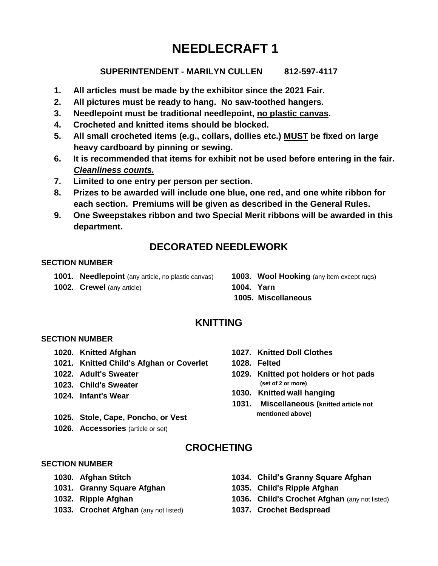# **NEEDLECRAFT 1**

## **SUPERINTENDENT - MARILYN CULLEN 812-597-4117**

- **1. All articles must be made by the exhibitor since the 2021 Fair.**
- **2. All pictures must be ready to hang. No saw-toothed hangers.**
- **3. Needlepoint must be traditional needlepoint, no plastic canvas.**
- **4. Crocheted and knitted items should be blocked.**
- **5. All small crocheted items (e.g., collars, dollies etc.) MUST be fixed on large heavy cardboard by pinning or sewing.**
- **6. It is recommended that items for exhibit not be used before entering in the fair.**  *Cleanliness counts.*
- **7. Limited to one entry per person per section.**
- **8. Prizes to be awarded will include one blue, one red, and one white ribbon for each section. Premiums will be given as described in the General Rules.**
- **9. One Sweepstakes ribbon and two Special Merit ribbons will be awarded in this department.**

# **DECORATED NEEDLEWORK**

## **SECTION NUMBER**

- **1001. Needlepoint** (any article, no plastic canvas)
- **1002. Crewel** (any article)

**1003. Wool Hooking** (any item except rugs) **1004. Yarn**

**1005. Miscellaneous**

# **KNITTING**

## **SECTION NUMBER**

- **1020. Knitted Afghan**
- **1021. Knitted Child's Afghan or Coverlet**
- **1022. Adult's Sweater**
- **1023. Child's Sweater**
- **1024. Infant's Wear**
- **1025. Stole, Cape, Poncho, or Vest**
- **1026. Accessories** (article or set)
- **1027. Knitted Doll Clothes**
- **1028. Felted**
- **1029. Knitted pot holders or hot pads (set of 2 or more)**
- **1030. Knitted wall hanging**
- **1031. Miscellaneous (knitted article not mentioned above)**

# **CROCHETING**

## **SECTION NUMBER**

- **1030. Afghan Stitch**
- **1031. Granny Square Afghan**
- **1032. Ripple Afghan**
- **1033. Crochet Afghan** (any not listed)
- **1034. Child's Granny Square Afghan**
- **1035. Child's Ripple Afghan**
- **1036. Child's Crochet Afghan** (any not listed)
- **1037. Crochet Bedspread**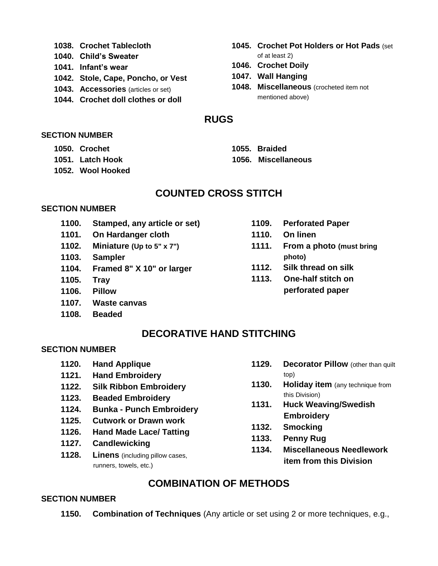- **1038. Crochet Tablecloth**
- **1040. Child's Sweater**
- **1041. Infant's wear**
- **1042. Stole, Cape, Poncho, or Vest**
- **1043. Accessories** (articles or set)
- **1044. Crochet doll clothes or doll**
- **1045. Crochet Pot Holders or Hot Pads** (set of at least 2)
- **1046. Crochet Doily**
- **1047. Wall Hanging**
- **1048. Miscellaneous** (crocheted item not mentioned above)

## **RUGS**

#### **SECTION NUMBER**

- **1050. Crochet**
- **1051. Latch Hook**
- **1052. Wool Hooked**

# **COUNTED CROSS STITCH**

## **SECTION NUMBER**

- **1100. Stamped, any article or set)**
- **1101. On Hardanger cloth**
- **1102. Miniature (Up to 5" x 7")**
- **1103. Sampler**
- **1104. Framed 8" X 10" or larger**
- **1105. Tray**
- **1106. Pillow**
- **1107. Waste canvas**
- **1108. Beaded**
- **1109. Perforated Paper**
- **1110. On linen**
- **1111. From a photo (must bring photo)**
- **1112. Silk thread on silk**
- **1113. One-half stitch on perforated paper**

# **DECORATIVE HAND STITCHING**

## **SECTION NUMBER**

- **1120. Hand Applique**
- **1121. Hand Embroidery**
- **1122. Silk Ribbon Embroidery**
- **1123. Beaded Embroidery**
- **1124. Bunka - Punch Embroidery**
- **1125. Cutwork or Drawn work**
- **1126. Hand Made Lace/ Tatting**
- **1127. Candlewicking**
- **1128. Linens** (including pillow cases, runners, towels, etc.)
- **1129. Decorator Pillow** (other than quilt top)
- **1130. Holiday item** (any technique from this Division)
- **1131. Huck Weaving/Swedish Embroidery**
- **1132. Smocking**
- **1133. Penny Rug**
- **1134. Miscellaneous Needlework item from this Division**

# **COMBINATION OF METHODS**

## **SECTION NUMBER**

**1150. Combination of Techniques** (Any article or set using 2 or more techniques, e.g.,

**1055. Braided 1056. Miscellaneous**